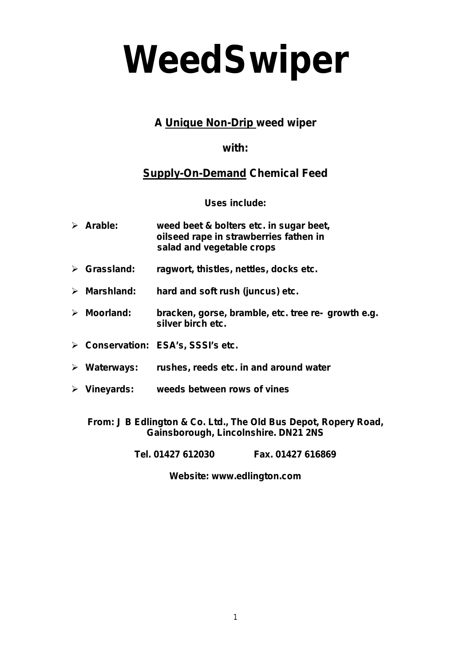# *WeedSwiper*

# **A Unique Non-Drip weed wiper**

## **with:**

# **Supply-On-Demand Chemical Feed**

**Uses include:**

| $\triangleright$ Arable:    | weed beet & bolters etc. in sugar beet,<br>oilseed rape in strawberries fathen in<br>salad and vegetable crops |
|-----------------------------|----------------------------------------------------------------------------------------------------------------|
| $\triangleright$ Grassland: | ragwort, thistles, nettles, docks etc.                                                                         |

- **Marshland: hard and soft rush (juncus) etc.**
- **Moorland: bracken, gorse, bramble, etc. tree re- growth e.g. silver birch etc.**
- **Conservation: ESA's, SSSI's etc.**
- **Waterways: rushes, reeds etc. in and around water**
- **Vineyards: weeds between rows of vines**

**From: J B Edlington & Co. Ltd., The Old Bus Depot, Ropery Road, Gainsborough, Lincolnshire. DN21 2NS**

**Tel. 01427 612030 Fax. 01427 616869** 

**Website: www.edlington.com**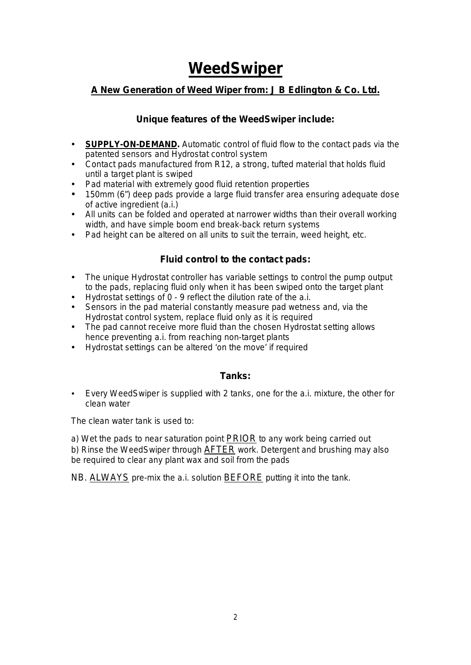# **WeedSwiper**

#### **A New Generation of Weed Wiper from: J B Edlington & Co. Ltd.**

#### **Unique features of the WeedSwiper include:**

- **SUPPLY-ON-DEMAND.** Automatic control of fluid flow to the contact pads via the patented sensors and Hydrostat control system
- Contact pads manufactured from R12, a strong, tufted material that holds fluid until a target plant is swiped
- Pad material with extremely good fluid retention properties
- 150mm (6") deep pads provide a large fluid transfer area ensuring adequate dose of active ingredient (a.i.)
- All units can be folded and operated at narrower widths than their overall working width, and have simple boom end break-back return systems
- Pad height can be altered on all units to suit the terrain, weed height, etc.

#### **Fluid control to the contact pads:**

- The unique Hydrostat controller has variable settings to control the pump output to the pads, replacing fluid only when it has been swiped onto the target plant
- Hydrostat settings of 0 9 reflect the dilution rate of the a.i.
- Sensors in the pad material constantly measure pad wetness and, via the Hydrostat control system, replace fluid only as it is required
- The pad cannot receive more fluid than the chosen Hydrostat setting allows hence preventing a.i. from reaching non-target plants
- Hydrostat settings can be altered 'on the move' if required

#### **Tanks:**

 Every WeedSwiper is supplied with 2 tanks, one for the a.i. mixture, the other for clean water

The clean water tank is used to:

a) Wet the pads to near saturation point **PRIOR** to any work being carried out b) Rinse the WeedSwiper through AFTER work. Detergent and brushing may also be required to clear any plant wax and soil from the pads

NB. ALWAYS pre-mix the a.i. solution **BEFORE** putting it into the tank.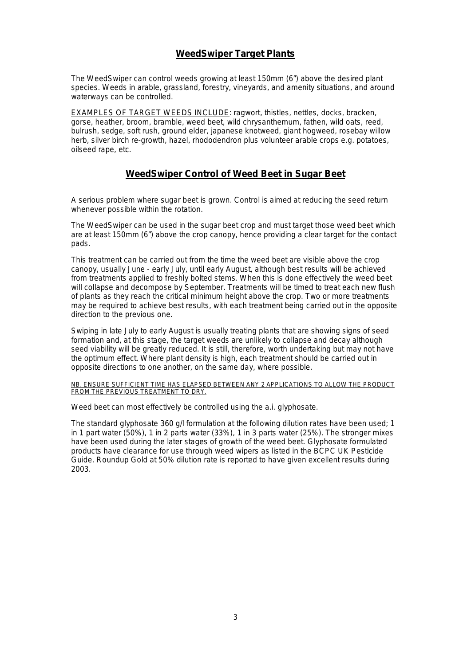#### **WeedSwiper Target Plants**

The WeedSwiper can control weeds growing at least 150mm (6") above the desired plant species. Weeds in arable, grassland, forestry, vineyards, and amenity situations, and around waterways can be controlled.

EXAMPLES OF TARGET WEEDS INCLUDE: ragwort, thistles, nettles, docks, bracken, gorse, heather, broom, bramble, weed beet, wild chrysanthemum, fathen, wild oats, reed, bulrush, sedge, soft rush, ground elder, japanese knotweed, giant hogweed, rosebay willow herb, silver birch re-growth, hazel, rhododendron plus volunteer arable crops e.g. potatoes, oilseed rape, etc.

#### **WeedSwiper Control of Weed Beet in Sugar Beet**

A serious problem where sugar beet is grown. Control is aimed at reducing the seed return whenever possible within the rotation.

The WeedSwiper can be used in the sugar beet crop and must target those weed beet which are at least 150mm (6") above the crop canopy, hence providing a clear target for the contact pads.

This treatment can be carried out from the time the weed beet are visible above the crop canopy, usually June - early July, until early August, although best results will be achieved from treatments applied to freshly bolted stems. When this is done effectively the weed beet will collapse and decompose by September. Treatments will be timed to treat each new flush of plants as they reach the critical minimum height above the crop. Two or more treatments may be required to achieve best results, with each treatment being carried out in the opposite direction to the previous one.

Swiping in late July to early August is usually treating plants that are showing signs of seed formation and, at this stage, the target weeds are unlikely to collapse and decay although seed viability will be greatly reduced. It is still, therefore, worth undertaking but may not have the optimum effect. Where plant density is high, each treatment should be carried out in opposite directions to one another, on the same day, where possible.

NB. ENSURE SUFFICIENT TIME HAS ELAPSED BETWEEN ANY 2 APPLICATIONS TO ALLOW THE PRODUCT FROM THE PREVIOUS TREATMENT TO DRY.

Weed beet can most effectively be controlled using the a.i. glyphosate.

The standard glyphosate 360 g/l formulation at the following dilution rates have been used; 1 in 1 part water (50%), 1 in 2 parts water (33%), 1 in 3 parts water (25%). The stronger mixes have been used during the later stages of growth of the weed beet. Glyphosate formulated products have clearance for use through weed wipers as listed in the BCPC UK Pesticide Guide. Roundup Gold at 50% dilution rate is reported to have given excellent results during 2003.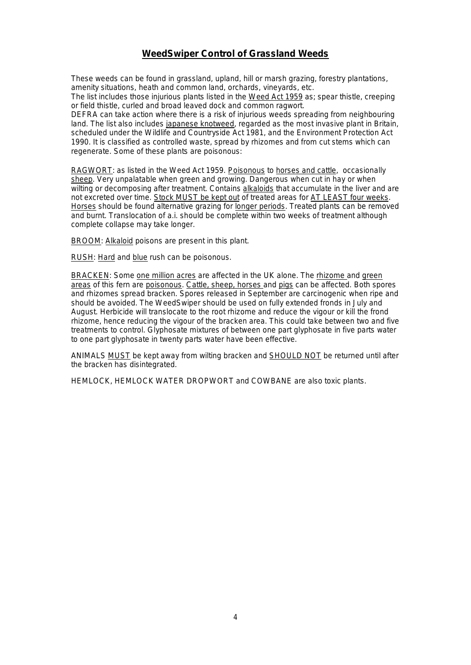#### **WeedSwiper Control of Grassland Weeds**

These weeds can be found in grassland, upland, hill or marsh grazing, forestry plantations, amenity situations, heath and common land, orchards, vineyards, etc.

The list includes those injurious plants listed in the Weed Act 1959 as; spear thistle, creeping or field thistle, curled and broad leaved dock and common ragwort.

DEFRA can take action where there is a risk of injurious weeds spreading from neighbouring land. The list also includes japanese knotweed, regarded as the most invasive plant in Britain, scheduled under the Wildlife and Countryside Act 1981, and the Environment Protection Act 1990. It is classified as controlled waste, spread by rhizomes and from cut stems which can regenerate. Some of these plants are poisonous:

RAGWORT: as listed in the Weed Act 1959. Poisonous to horses and cattle, occasionally sheep. Very unpalatable when green and growing. Dangerous when cut in hay or when wilting or decomposing after treatment. Contains alkaloids that accumulate in the liver and are not excreted over time. Stock MUST be kept out of treated areas for AT LEAST four weeks. Horses should be found alternative grazing for longer periods. Treated plants can be removed and burnt. Translocation of a.i. should be complete within two weeks of treatment although complete collapse may take longer.

BROOM: Alkaloid poisons are present in this plant.

RUSH: Hard and blue rush can be poisonous.

BRACKEN: Some one million acres are affected in the UK alone. The rhizome and green areas of this fern are poisonous. Cattle, sheep, horses and pigs can be affected. Both spores and rhizomes spread bracken. Spores released in September are carcinogenic when ripe and should be avoided. The WeedSwiper should be used on fully extended fronds in July and August. Herbicide will translocate to the root rhizome and reduce the vigour or kill the frond rhizome, hence reducing the vigour of the bracken area. This could take between two and five treatments to control. Glyphosate mixtures of between one part glyphosate in five parts water to one part glyphosate in twenty parts water have been effective.

ANIMALS MUST be kept away from wilting bracken and SHOULD NOT be returned until after the bracken has disintegrated.

HEMLOCK, HEMLOCK WATER DROPWORT and COWBANE are also toxic plants.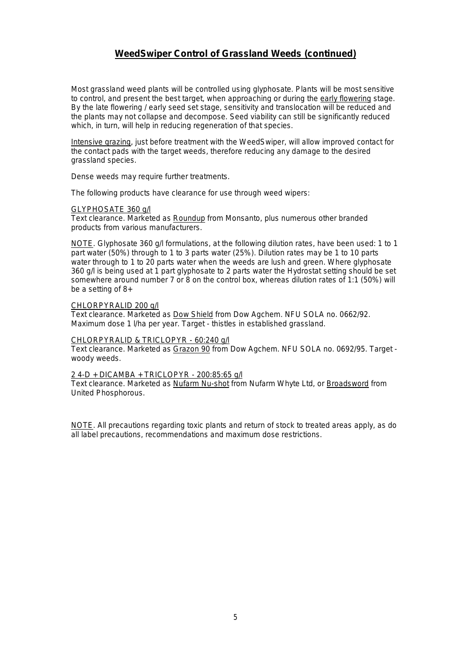#### **WeedSwiper Control of Grassland Weeds (continued)**

Most grassland weed plants will be controlled using glyphosate. Plants will be most sensitive to control, and present the best target, when approaching or during the early flowering stage. By the late flowering / early seed set stage, sensitivity and translocation will be reduced and the plants may not collapse and decompose. Seed viability can still be significantly reduced which, in turn, will help in reducing regeneration of that species.

Intensive grazing, just before treatment with the WeedSwiper, will allow improved contact for the contact pads with the target weeds, therefore reducing any damage to the desired grassland species.

Dense weeds may require further treatments.

The following products have clearance for use through weed wipers:

#### GLYPHOSATE 360 g/l

Text clearance. Marketed as Roundup from Monsanto, plus numerous other branded products from various manufacturers.

NOTE. Glyphosate 360 g/l formulations, at the following dilution rates, have been used: 1 to 1 part water (50%) through to 1 to 3 parts water (25%). Dilution rates may be 1 to 10 parts water through to 1 to 20 parts water when the weeds are lush and green. Where glyphosate 360 g/l is being used at 1 part glyphosate to 2 parts water the Hydrostat setting should be set somewhere around number 7 or 8 on the control box, whereas dilution rates of 1:1 (50%) will be a setting of 8+

#### CHLORPYRALID 200 g/l

Text clearance. Marketed as Dow Shield from Dow Agchem. NFU SOLA no. 0662/92. Maximum dose 1 l/ha per year. Target - thistles in established grassland.

#### CHLORPYRALID & TRICLOPYR - 60:240 g/l

Text clearance. Marketed as Grazon 90 from Dow Agchem. NFU SOLA no. 0692/95. Target woody weeds.

#### 2 4-D + DICAMBA + TRICLOPYR - 200:85:65 g/l

Text clearance. Marketed as Nufarm Nu-shot from Nufarm Whyte Ltd, or Broadsword from United Phosphorous.

NOTE. All precautions regarding toxic plants and return of stock to treated areas apply, as do all label precautions, recommendations and maximum dose restrictions.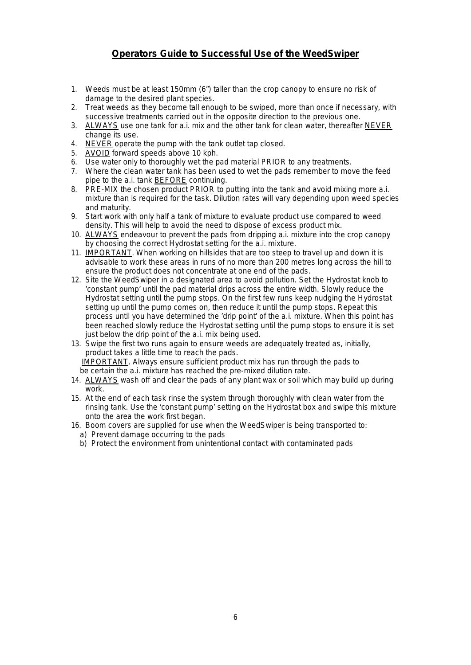#### **Operators Guide to Successful Use of the WeedSwiper**

- 1. Weeds must be at least 150mm (6") taller than the crop canopy to ensure no risk of damage to the desired plant species.
- 2. Treat weeds as they become tall enough to be swiped, more than once if necessary, with successive treatments carried out in the opposite direction to the previous one.
- 3. ALWAYS use one tank for a.i. mix and the other tank for clean water, thereafter NEVER change its use.
- 4. NEVER operate the pump with the tank outlet tap closed.
- 5. AVOID forward speeds above 10 kph.
- 6. Use water only to thoroughly wet the pad material PRIOR to any treatments.
- 7. Where the clean water tank has been used to wet the pads remember to move the feed pipe to the a.i. tank BEFORE continuing.
- 8. PRE-MIX the chosen product PRIOR to putting into the tank and avoid mixing more a.i. mixture than is required for the task. Dilution rates will vary depending upon weed species and maturity.
- 9. Start work with only half a tank of mixture to evaluate product use compared to weed density. This will help to avoid the need to dispose of excess product mix.
- 10. ALWAYS endeavour to prevent the pads from dripping a.i. mixture into the crop canopy by choosing the correct Hydrostat setting for the a.i. mixture.
- 11. IMPORTANT. When working on hillsides that are too steep to travel up and down it is advisable to work these areas in runs of no more than 200 metres long across the hill to ensure the product does not concentrate at one end of the pads.
- 12. Site the WeedSwiper in a designated area to avoid pollution. Set the Hydrostat knob to 'constant pump' until the pad material drips across the entire width. Slowly reduce the Hydrostat setting until the pump stops. On the first few runs keep nudging the Hydrostat setting up until the pump comes on, then reduce it until the pump stops. Repeat this process until you have determined the 'drip point' of the a.i. mixture. When this point has been reached slowly reduce the Hydrostat setting until the pump stops to ensure it is set just below the drip point of the a.j. mix being used.
- 13. Swipe the first two runs again to ensure weeds are adequately treated as, initially, product takes a little time to reach the pads. IMPORTANT. Always ensure sufficient product mix has run through the pads to be certain the a.i. mixture has reached the pre-mixed dilution rate.
- 14. ALWAYS wash off and clear the pads of any plant wax or soil which may build up during work.
- 15. At the end of each task rinse the system through thoroughly with clean water from the rinsing tank. Use the 'constant pump' setting on the Hydrostat box and swipe this mixture onto the area the work first began.
- 16. Boom covers are supplied for use when the WeedSwiper is being transported to:
	- a) Prevent damage occurring to the pads
	- b) Protect the environment from unintentional contact with contaminated pads